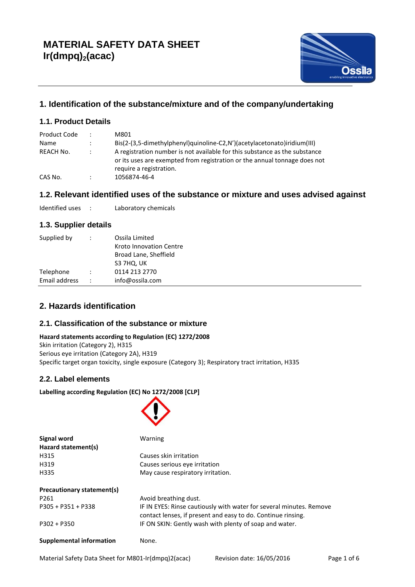

# **1. Identification of the substance/mixture and of the company/undertaking**

# **1.1. Product Details**

| Product Code | ٠         | M801                                                                                                                                                                               |
|--------------|-----------|------------------------------------------------------------------------------------------------------------------------------------------------------------------------------------|
| Name         | ÷         | $Big(2-(3.5-dimethylphenyl)$ quinoline-C2,N')(acetylacetonato)iridium(III)                                                                                                         |
| REACH No.    |           | A registration number is not available for this substance as the substance<br>or its uses are exempted from registration or the annual tonnage does not<br>require a registration. |
| CAS No.      | $\bullet$ | 1056874-46-4                                                                                                                                                                       |

# **1.2. Relevant identified uses of the substance or mixture and uses advised against**

Identified uses : Laboratory chemicals

## **1.3. Supplier details**

| Supplied by                | $\ddot{\phantom{0}}$ | Ossila Limited<br>Kroto Innovation Centre<br>Broad Lane, Sheffield |
|----------------------------|----------------------|--------------------------------------------------------------------|
| Telephone<br>Email address | ÷                    | S3 7HQ, UK<br>0114 213 2770<br>info@ossila.com                     |
|                            |                      |                                                                    |

# **2. Hazards identification**

## **2.1. Classification of the substance or mixture**

#### **Hazard statements according to Regulation (EC) 1272/2008** Skin irritation (Category 2), H315

Serious eye irritation (Category 2A), H319 Specific target organ toxicity, single exposure (Category 3); Respiratory tract irritation, H335

 $\curvearrowright$ 

## **2.2. Label elements**

**Labelling according Regulation (EC) No 1272/2008 [CLP]**

| Signal word                               | Warning                                                                                                                             |  |  |  |
|-------------------------------------------|-------------------------------------------------------------------------------------------------------------------------------------|--|--|--|
| Hazard statement(s)                       |                                                                                                                                     |  |  |  |
| H315                                      | Causes skin irritation                                                                                                              |  |  |  |
| H319<br>Causes serious eye irritation     |                                                                                                                                     |  |  |  |
| H335<br>May cause respiratory irritation. |                                                                                                                                     |  |  |  |
| Precautionary statement(s)                |                                                                                                                                     |  |  |  |
| P261                                      | Avoid breathing dust.                                                                                                               |  |  |  |
| P305 + P351 + P338                        | IF IN EYES: Rinse cautiously with water for several minutes. Remove<br>contact lenses, if present and easy to do. Continue rinsing. |  |  |  |
| $P302 + P350$                             | IF ON SKIN: Gently wash with plenty of soap and water.                                                                              |  |  |  |
| <b>Supplemental information</b>           | None.                                                                                                                               |  |  |  |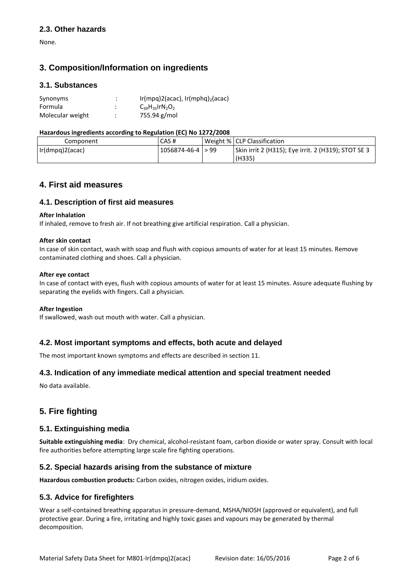### **2.3. Other hazards**

None.

# **3. Composition/Information on ingredients**

### **3.1. Substances**

| Synonyms         | ٠<br>٠       | Ir(mpq)2(acac), Ir(mphq) <sub>2</sub> (acac) |
|------------------|--------------|----------------------------------------------|
| Formula          | ٠<br>٠       | $C_{39}H_{35}$ $\text{TrN}_2O_2$             |
| Molecular weight | ٠<br>$\cdot$ | 755.94 g/mol                                 |

#### **Hazardous ingredients according to Regulation (EC) No 1272/2008**

| Component       | CAS#                |  | Weight %   CLP Classification                       |
|-----------------|---------------------|--|-----------------------------------------------------|
| Ir(dmpg)2(acac) | 1056874-46-4   > 99 |  | Skin irrit 2 (H315); Eye irrit. 2 (H319); STOT SE 3 |
|                 |                     |  | (H335)                                              |

# **4. First aid measures**

### **4.1. Description of first aid measures**

#### **After Inhalation**

If inhaled, remove to fresh air. If not breathing give artificial respiration. Call a physician.

#### **After skin contact**

In case of skin contact, wash with soap and flush with copious amounts of water for at least 15 minutes. Remove contaminated clothing and shoes. Call a physician.

#### **After eye contact**

In case of contact with eyes, flush with copious amounts of water for at least 15 minutes. Assure adequate flushing by separating the eyelids with fingers. Call a physician.

#### **After Ingestion**

If swallowed, wash out mouth with water. Call a physician.

### **4.2. Most important symptoms and effects, both acute and delayed**

The most important known symptoms and effects are described in section 11.

## **4.3. Indication of any immediate medical attention and special treatment needed**

No data available.

# **5. Fire fighting**

### **5.1. Extinguishing media**

**Suitable extinguishing media**: Dry chemical, alcohol-resistant foam, carbon dioxide or water spray. Consult with local fire authorities before attempting large scale fire fighting operations.

## **5.2. Special hazards arising from the substance of mixture**

**Hazardous combustion products:** Carbon oxides, nitrogen oxides, iridium oxides.

### **5.3. Advice for firefighters**

Wear a self-contained breathing apparatus in pressure-demand, MSHA/NIOSH (approved or equivalent), and full protective gear. During a fire, irritating and highly toxic gases and vapours may be generated by thermal decomposition.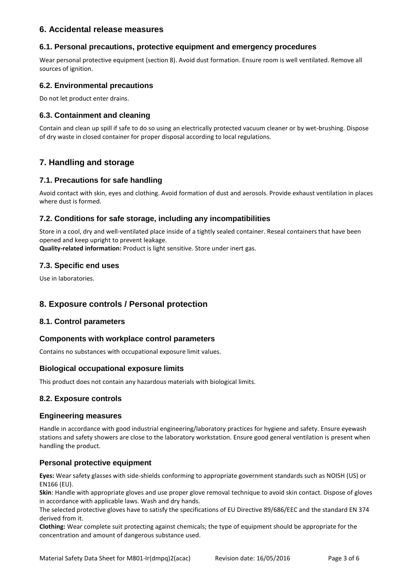## **6. Accidental release measures**

### **6.1. Personal precautions, protective equipment and emergency procedures**

Wear personal protective equipment (section 8). Avoid dust formation. Ensure room is well ventilated. Remove all sources of ignition.

### **6.2. Environmental precautions**

Do not let product enter drains.

## **6.3. Containment and cleaning**

Contain and clean up spill if safe to do so using an electrically protected vacuum cleaner or by wet-brushing. Dispose of dry waste in closed container for proper disposal according to local regulations.

# **7. Handling and storage**

### **7.1. Precautions for safe handling**

Avoid contact with skin, eyes and clothing. Avoid formation of dust and aerosols. Provide exhaust ventilation in places where dust is formed.

### **7.2. Conditions for safe storage, including any incompatibilities**

Store in a cool, dry and well-ventilated place inside of a tightly sealed container. Reseal containers that have been opened and keep upright to prevent leakage.

**Quality-related information:** Product is light sensitive. Store under inert gas.

### **7.3. Specific end uses**

Use in laboratories.

## **8. Exposure controls / Personal protection**

### **8.1. Control parameters**

### **Components with workplace control parameters**

Contains no substances with occupational exposure limit values.

### **Biological occupational exposure limits**

This product does not contain any hazardous materials with biological limits.

### **8.2. Exposure controls**

### **Engineering measures**

Handle in accordance with good industrial engineering/laboratory practices for hygiene and safety. Ensure eyewash stations and safety showers are close to the laboratory workstation. Ensure good general ventilation is present when handling the product.

### **Personal protective equipment**

**Eyes:** Wear safety glasses with side-shields conforming to appropriate government standards such as NOISH (US) or EN166 (EU).

**Skin**: Handle with appropriate gloves and use proper glove removal technique to avoid skin contact. Dispose of gloves in accordance with applicable laws. Wash and dry hands.

The selected protective gloves have to satisfy the specifications of EU Directive 89/686/EEC and the standard EN 374 derived from it.

**Clothing:** Wear complete suit protecting against chemicals; the type of equipment should be appropriate for the concentration and amount of dangerous substance used.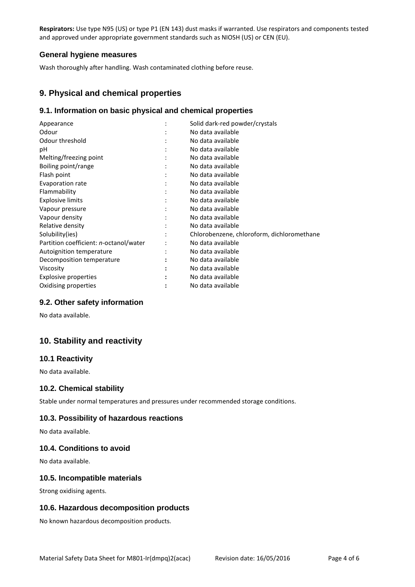**Respirators:** Use type N95 (US) or type P1 (EN 143) dust masks if warranted. Use respirators and components tested and approved under appropriate government standards such as NIOSH (US) or CEN (EU).

### **General hygiene measures**

Wash thoroughly after handling. Wash contaminated clothing before reuse.

## **9. Physical and chemical properties**

### **9.1. Information on basic physical and chemical properties**

|   | Solid dark-red powder/crystals             |
|---|--------------------------------------------|
|   | No data available                          |
|   | No data available                          |
|   | No data available                          |
|   | No data available                          |
| ٠ | No data available                          |
| ٠ | No data available                          |
|   | No data available                          |
|   | No data available                          |
|   | No data available                          |
|   | No data available                          |
|   | No data available                          |
|   | No data available                          |
|   | Chlorobenzene, chloroform, dichloromethane |
|   | No data available                          |
|   | No data available                          |
|   | No data available                          |
|   | No data available                          |
|   | No data available                          |
|   | No data available                          |
|   |                                            |

### **9.2. Other safety information**

No data available.

# **10. Stability and reactivity**

### **10.1 Reactivity**

No data available.

### **10.2. Chemical stability**

Stable under normal temperatures and pressures under recommended storage conditions.

### **10.3. Possibility of hazardous reactions**

No data available.

### **10.4. Conditions to avoid**

No data available.

### **10.5. Incompatible materials**

Strong oxidising agents.

### **10.6. Hazardous decomposition products**

No known hazardous decomposition products.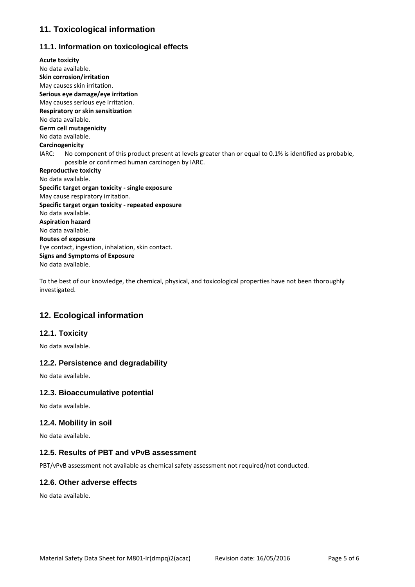# **11. Toxicological information**

# **11.1. Information on toxicological effects**

**Acute toxicity** No data available. **Skin corrosion/irritation** May causes skin irritation. **Serious eye damage/eye irritation** May causes serious eye irritation. **Respiratory or skin sensitization** No data available. **Germ cell mutagenicity** No data available. **Carcinogenicity** IARC: No component of this product present at levels greater than or equal to 0.1% is identified as probable, possible or confirmed human carcinogen by IARC. **Reproductive toxicity** No data available. **Specific target organ toxicity - single exposure** May cause respiratory irritation. **Specific target organ toxicity - repeated exposure** No data available. **Aspiration hazard** No data available. **Routes of exposure** Eye contact, ingestion, inhalation, skin contact. **Signs and Symptoms of Exposure** No data available.

To the best of our knowledge, the chemical, physical, and toxicological properties have not been thoroughly investigated.

# **12. Ecological information**

## **12.1. Toxicity**

No data available.

## **12.2. Persistence and degradability**

No data available.

### **12.3. Bioaccumulative potential**

No data available.

### **12.4. Mobility in soil**

No data available.

### **12.5. Results of PBT and vPvB assessment**

PBT/vPvB assessment not available as chemical safety assessment not required/not conducted.

## **12.6. Other adverse effects**

No data available.